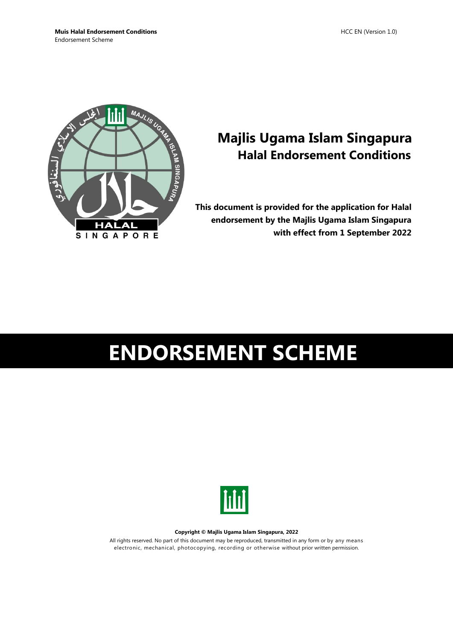

## **Majlis Ugama Islam Singapura Halal Endorsement Conditions**

**This document is provided for the application for Halal endorsement by the Majlis Ugama Islam Singapura with effect from 1 September 2022**

# **ENDORSEMENT SCHEME**



**Copyright © Majlis Ugama Islam Singapura, 2022**

All rights reserved. No part of this document may be reproduced, transmitted in any form or by any means electronic, mechanical, photocopying, recording or otherwise without prior written permission.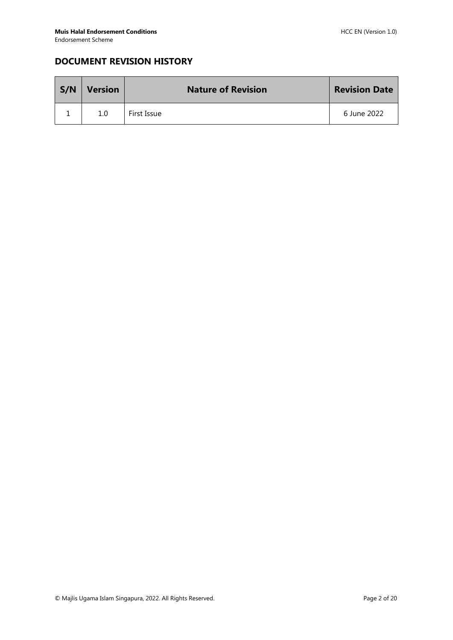## **DOCUMENT REVISION HISTORY**

| S/N | <b>Version</b> | <b>Nature of Revision</b> | <b>Revision Date</b> |
|-----|----------------|---------------------------|----------------------|
|     | $1.0\,$        | First Issue               | 6 June 2022          |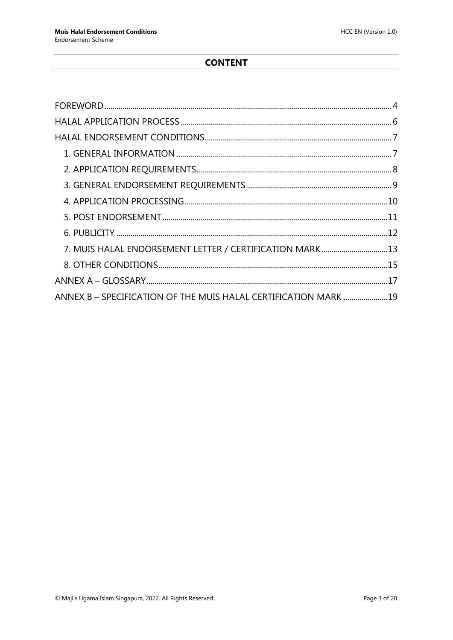### **CONTENT**

| 7. MUIS HALAL ENDORSEMENT LETTER / CERTIFICATION MARK13         |  |
|-----------------------------------------------------------------|--|
|                                                                 |  |
|                                                                 |  |
| ANNEX B - SPECIFICATION OF THE MUIS HALAL CERTIFICATION MARK 19 |  |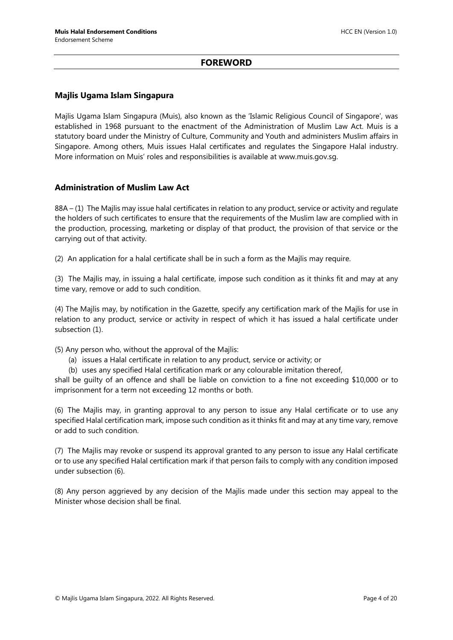#### **FOREWORD**

#### <span id="page-3-0"></span>**Majlis Ugama Islam Singapura**

Majlis Ugama Islam Singapura (Muis), also known as the 'Islamic Religious Council of Singapore', was established in 1968 pursuant to the enactment of the Administration of Muslim Law Act. Muis is a statutory board under the Ministry of Culture, Community and Youth and administers Muslim affairs in Singapore. Among others, Muis issues Halal certificates and regulates the Singapore Halal industry. More information on Muis' roles and responsibilities is available at www.muis.gov.sg.

#### **Administration of Muslim Law Act**

88A – (1) The Majlis may issue halal certificates in relation to any product, service or activity and regulate the holders of such certificates to ensure that the requirements of the Muslim law are complied with in the production, processing, marketing or display of that product, the provision of that service or the carrying out of that activity.

(2) An application for a halal certificate shall be in such a form as the Majlis may require.

(3) The Majlis may, in issuing a halal certificate, impose such condition as it thinks fit and may at any time vary, remove or add to such condition.

(4) The Majlis may, by notification in the Gazette, specify any certification mark of the Majlis for use in relation to any product, service or activity in respect of which it has issued a halal certificate under subsection (1).

(5) Any person who, without the approval of the Majlis:

- (a) issues a Halal certificate in relation to any product, service or activity; or
- (b) uses any specified Halal certification mark or any colourable imitation thereof,

shall be guilty of an offence and shall be liable on conviction to a fine not exceeding \$10,000 or to imprisonment for a term not exceeding 12 months or both.

(6) The Majlis may, in granting approval to any person to issue any Halal certificate or to use any specified Halal certification mark, impose such condition as it thinks fit and may at any time vary, remove or add to such condition.

(7) The Majlis may revoke or suspend its approval granted to any person to issue any Halal certificate or to use any specified Halal certification mark if that person fails to comply with any condition imposed under subsection (6).

(8) Any person aggrieved by any decision of the Majlis made under this section may appeal to the Minister whose decision shall be final.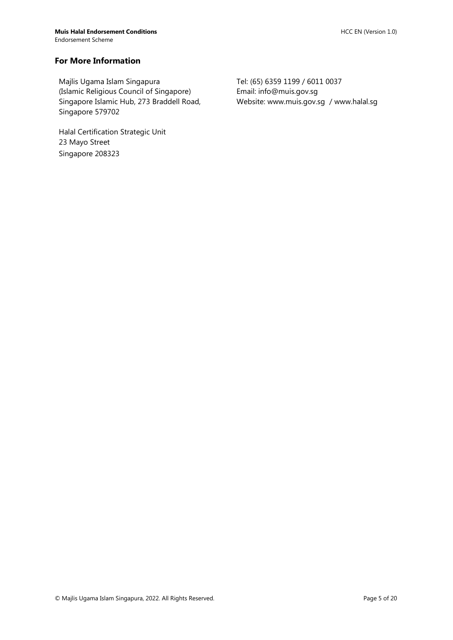#### **For More Information**

Majlis Ugama Islam Singapura (Islamic Religious Council of Singapore) Singapore Islamic Hub, 273 Braddell Road, Singapore 579702

Halal Certification Strategic Unit 23 Mayo Street Singapore 208323

Tel: (65) 6359 1199 / 6011 0037 Email: info@muis.gov.sg Website: www.muis.gov.sg / www.halal.sg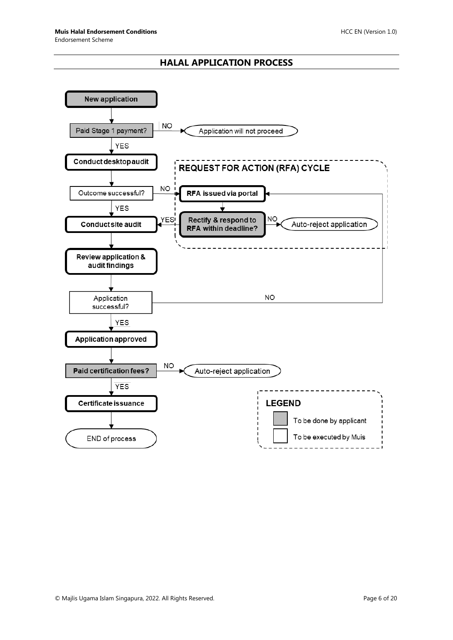#### **HALAL APPLICATION PROCESS**

<span id="page-5-0"></span>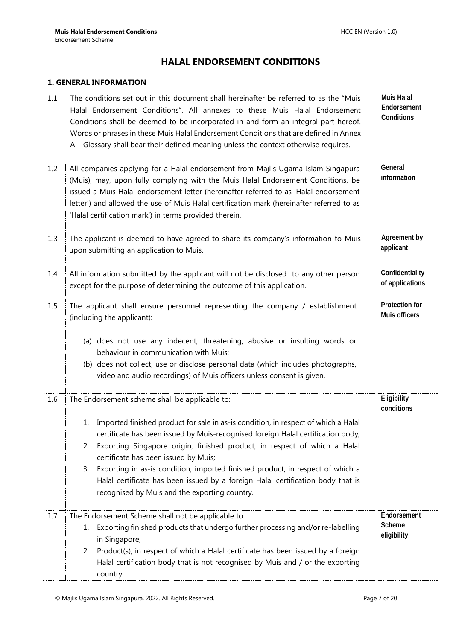<span id="page-6-1"></span><span id="page-6-0"></span>

|     | <b>HALAL ENDORSEMENT CONDITIONS</b>                                                                                                                                                                                                                                                                                                                                                                                                                                                                                                                                                   |                                                |  |  |  |
|-----|---------------------------------------------------------------------------------------------------------------------------------------------------------------------------------------------------------------------------------------------------------------------------------------------------------------------------------------------------------------------------------------------------------------------------------------------------------------------------------------------------------------------------------------------------------------------------------------|------------------------------------------------|--|--|--|
|     | <b>1. GENERAL INFORMATION</b>                                                                                                                                                                                                                                                                                                                                                                                                                                                                                                                                                         |                                                |  |  |  |
| 1.1 | The conditions set out in this document shall hereinafter be referred to as the "Muis<br>Halal Endorsement Conditions". All annexes to these Muis Halal Endorsement<br>Conditions shall be deemed to be incorporated in and form an integral part hereof.<br>Words or phrases in these Muis Halal Endorsement Conditions that are defined in Annex<br>A - Glossary shall bear their defined meaning unless the context otherwise requires.                                                                                                                                            | <b>Muis Halal</b><br>Endorsement<br>Conditions |  |  |  |
| 1.2 | All companies applying for a Halal endorsement from Majlis Ugama Islam Singapura<br>(Muis), may, upon fully complying with the Muis Halal Endorsement Conditions, be<br>issued a Muis Halal endorsement letter (hereinafter referred to as 'Halal endorsement<br>letter') and allowed the use of Muis Halal certification mark (hereinafter referred to as<br>'Halal certification mark') in terms provided therein.                                                                                                                                                                  | General<br>information                         |  |  |  |
| 1.3 | The applicant is deemed to have agreed to share its company's information to Muis<br>upon submitting an application to Muis.                                                                                                                                                                                                                                                                                                                                                                                                                                                          | Agreement by<br>applicant                      |  |  |  |
| 1.4 | All information submitted by the applicant will not be disclosed to any other person<br>except for the purpose of determining the outcome of this application.                                                                                                                                                                                                                                                                                                                                                                                                                        | Confidentiality<br>of applications             |  |  |  |
| 1.5 | The applicant shall ensure personnel representing the company / establishment<br>(including the applicant):<br>(a) does not use any indecent, threatening, abusive or insulting words or<br>behaviour in communication with Muis;<br>(b) does not collect, use or disclose personal data (which includes photographs,<br>video and audio recordings) of Muis officers unless consent is given.                                                                                                                                                                                        | <b>Protection for</b><br>Muis officers         |  |  |  |
| 1.6 | The Endorsement scheme shall be applicable to:<br>Imported finished product for sale in as-is condition, in respect of which a Halal<br>1.<br>certificate has been issued by Muis-recognised foreign Halal certification body;<br>Exporting Singapore origin, finished product, in respect of which a Halal<br>2.<br>certificate has been issued by Muis;<br>Exporting in as-is condition, imported finished product, in respect of which a<br>3.<br>Halal certificate has been issued by a foreign Halal certification body that is<br>recognised by Muis and the exporting country. | Eligibility<br>conditions                      |  |  |  |
| 1.7 | The Endorsement Scheme shall not be applicable to:<br>Exporting finished products that undergo further processing and/or re-labelling<br>1.<br>in Singapore;<br>Product(s), in respect of which a Halal certificate has been issued by a foreign<br>2.<br>Halal certification body that is not recognised by Muis and / or the exporting<br>country.                                                                                                                                                                                                                                  | Endorsement<br>Scheme<br>eligibility           |  |  |  |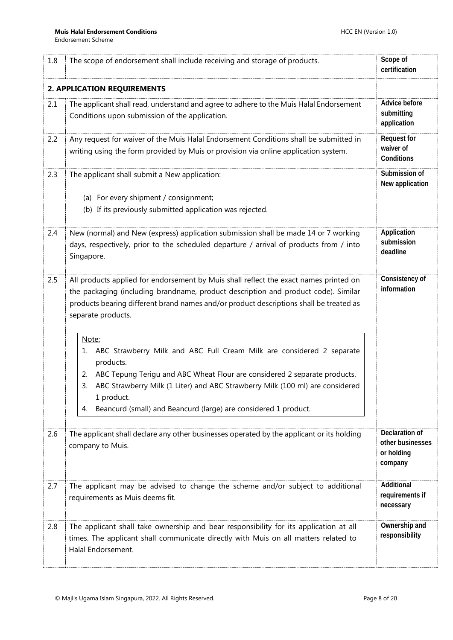<span id="page-7-0"></span>

| 1.8 | The scope of endorsement shall include receiving and storage of products.                                                                                                                                                                                                                                                                                          | Scope of<br>certification                                   |
|-----|--------------------------------------------------------------------------------------------------------------------------------------------------------------------------------------------------------------------------------------------------------------------------------------------------------------------------------------------------------------------|-------------------------------------------------------------|
|     | 2. APPLICATION REQUIREMENTS                                                                                                                                                                                                                                                                                                                                        |                                                             |
| 2.1 | The applicant shall read, understand and agree to adhere to the Muis Halal Endorsement<br>Conditions upon submission of the application.                                                                                                                                                                                                                           | Advice before<br>submitting<br>application                  |
| 2.2 | Any request for waiver of the Muis Halal Endorsement Conditions shall be submitted in<br>writing using the form provided by Muis or provision via online application system.                                                                                                                                                                                       | <b>Request for</b><br>waiver of<br>Conditions               |
| 2.3 | The applicant shall submit a New application:<br>(a) For every shipment / consignment;<br>(b) If its previously submitted application was rejected.                                                                                                                                                                                                                | Submission of<br>New application                            |
| 2.4 | New (normal) and New (express) application submission shall be made 14 or 7 working<br>days, respectively, prior to the scheduled departure / arrival of products from / into<br>Singapore.                                                                                                                                                                        | Application<br>submission<br>deadline                       |
| 2.5 | All products applied for endorsement by Muis shall reflect the exact names printed on<br>the packaging (including brandname, product description and product code). Similar<br>products bearing different brand names and/or product descriptions shall be treated as<br>separate products.                                                                        | Consistency of<br>information                               |
|     | Note:<br>ABC Strawberry Milk and ABC Full Cream Milk are considered 2 separate<br>1.<br>products.<br>ABC Tepung Terigu and ABC Wheat Flour are considered 2 separate products.<br>2.<br>ABC Strawberry Milk (1 Liter) and ABC Strawberry Milk (100 ml) are considered<br>3.<br>1 product.<br>Beancurd (small) and Beancurd (large) are considered 1 product.<br>4. |                                                             |
| 2.6 | The applicant shall declare any other businesses operated by the applicant or its holding<br>company to Muis.                                                                                                                                                                                                                                                      | Declaration of<br>other businesses<br>or holding<br>company |
| 2.7 | The applicant may be advised to change the scheme and/or subject to additional<br>requirements as Muis deems fit.                                                                                                                                                                                                                                                  | Additional<br>requirements if<br>necessary                  |
| 2.8 | The applicant shall take ownership and bear responsibility for its application at all<br>times. The applicant shall communicate directly with Muis on all matters related to<br>Halal Endorsement.                                                                                                                                                                 | Ownership and<br>responsibility                             |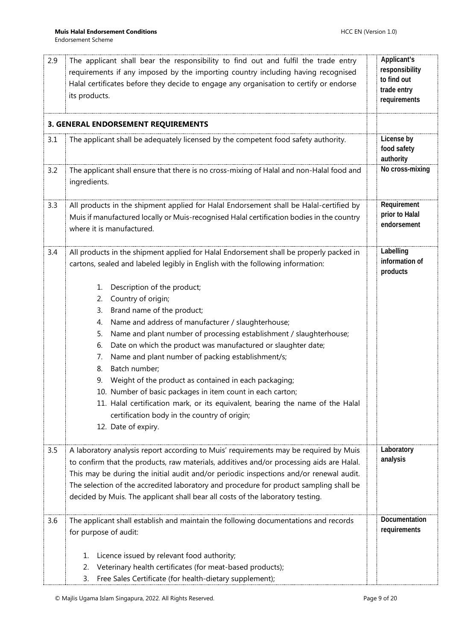<span id="page-8-0"></span>

| 2.9 | The applicant shall bear the responsibility to find out and fulfil the trade entry<br>requirements if any imposed by the importing country including having recognised<br>Halal certificates before they decide to engage any organisation to certify or endorse<br>its products.                                                                                                                                                                                                                                                                                                                                                                                                         | Applicant's<br>responsibility<br>to find out<br>trade entry<br>requirements |
|-----|-------------------------------------------------------------------------------------------------------------------------------------------------------------------------------------------------------------------------------------------------------------------------------------------------------------------------------------------------------------------------------------------------------------------------------------------------------------------------------------------------------------------------------------------------------------------------------------------------------------------------------------------------------------------------------------------|-----------------------------------------------------------------------------|
|     | 3. GENERAL ENDORSEMENT REQUIREMENTS                                                                                                                                                                                                                                                                                                                                                                                                                                                                                                                                                                                                                                                       |                                                                             |
| 3.1 | The applicant shall be adequately licensed by the competent food safety authority.                                                                                                                                                                                                                                                                                                                                                                                                                                                                                                                                                                                                        | License by<br>food safety<br>authority                                      |
| 3.2 | The applicant shall ensure that there is no cross-mixing of Halal and non-Halal food and<br>ingredients.                                                                                                                                                                                                                                                                                                                                                                                                                                                                                                                                                                                  | No cross-mixing                                                             |
| 3.3 | All products in the shipment applied for Halal Endorsement shall be Halal-certified by<br>Muis if manufactured locally or Muis-recognised Halal certification bodies in the country<br>where it is manufactured.                                                                                                                                                                                                                                                                                                                                                                                                                                                                          | Requirement<br>prior to Halal<br>endorsement                                |
| 3.4 | All products in the shipment applied for Halal Endorsement shall be properly packed in<br>cartons, sealed and labeled legibly in English with the following information:                                                                                                                                                                                                                                                                                                                                                                                                                                                                                                                  | Labelling<br>information of<br>products                                     |
|     | Description of the product;<br>1.<br>Country of origin;<br>2.<br>Brand name of the product;<br>3.<br>Name and address of manufacturer / slaughterhouse;<br>4.<br>Name and plant number of processing establishment / slaughterhouse;<br>5.<br>Date on which the product was manufactured or slaughter date;<br>6.<br>Name and plant number of packing establishment/s;<br>7.<br>Batch number;<br>8.<br>Weight of the product as contained in each packaging;<br>9.<br>10. Number of basic packages in item count in each carton;<br>11. Halal certification mark, or its equivalent, bearing the name of the Halal<br>certification body in the country of origin;<br>12. Date of expiry. |                                                                             |
| 3.5 | A laboratory analysis report according to Muis' requirements may be required by Muis<br>to confirm that the products, raw materials, additives and/or processing aids are Halal.<br>This may be during the initial audit and/or periodic inspections and/or renewal audit.<br>The selection of the accredited laboratory and procedure for product sampling shall be<br>decided by Muis. The applicant shall bear all costs of the laboratory testing.                                                                                                                                                                                                                                    | Laboratory<br>analysis                                                      |
| 3.6 | The applicant shall establish and maintain the following documentations and records<br>for purpose of audit:                                                                                                                                                                                                                                                                                                                                                                                                                                                                                                                                                                              | Documentation<br>requirements                                               |
|     | Licence issued by relevant food authority;<br>1.<br>Veterinary health certificates (for meat-based products);<br>2.<br>Free Sales Certificate (for health-dietary supplement);<br>3.                                                                                                                                                                                                                                                                                                                                                                                                                                                                                                      |                                                                             |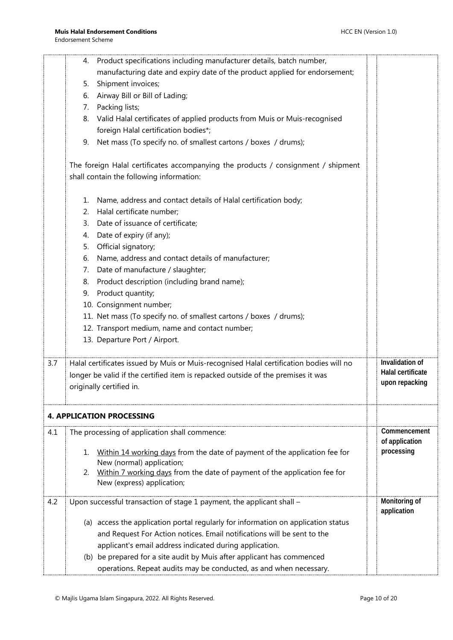<span id="page-9-0"></span>

|     | Product specifications including manufacturer details, batch number,<br>4.                                                |                                |
|-----|---------------------------------------------------------------------------------------------------------------------------|--------------------------------|
|     | manufacturing date and expiry date of the product applied for endorsement;                                                |                                |
|     | Shipment invoices;<br>5.                                                                                                  |                                |
|     | Airway Bill or Bill of Lading;<br>6.                                                                                      |                                |
|     | Packing lists;<br>7.                                                                                                      |                                |
|     | Valid Halal certificates of applied products from Muis or Muis-recognised<br>8.                                           |                                |
|     | foreign Halal certification bodies*;                                                                                      |                                |
|     | Net mass (To specify no. of smallest cartons / boxes / drums);<br>9.                                                      |                                |
|     | The foreign Halal certificates accompanying the products / consignment / shipment                                         |                                |
|     | shall contain the following information:                                                                                  |                                |
|     | Name, address and contact details of Halal certification body;<br>1.                                                      |                                |
|     | Halal certificate number;<br>2.                                                                                           |                                |
|     | Date of issuance of certificate;<br>3.                                                                                    |                                |
|     | Date of expiry (if any);<br>4.                                                                                            |                                |
|     | Official signatory;<br>5.                                                                                                 |                                |
|     | Name, address and contact details of manufacturer;<br>6.                                                                  |                                |
|     | Date of manufacture / slaughter;<br>7.                                                                                    |                                |
|     | Product description (including brand name);<br>8.                                                                         |                                |
|     | Product quantity;<br>9.                                                                                                   |                                |
|     | 10. Consignment number;                                                                                                   |                                |
|     | 11. Net mass (To specify no. of smallest cartons / boxes / drums);                                                        |                                |
|     | 12. Transport medium, name and contact number;                                                                            |                                |
|     | 13. Departure Port / Airport.                                                                                             |                                |
| 3.7 | Halal certificates issued by Muis or Muis-recognised Halal certification bodies will no                                   | Invalidation of                |
|     | longer be valid if the certified item is repacked outside of the premises it was                                          | Halal certificate              |
|     | originally certified in.                                                                                                  | upon repacking                 |
|     | <b>4. APPLICATION PROCESSING</b>                                                                                          |                                |
| 4.1 | The processing of application shall commence:                                                                             | Commencement<br>of application |
|     | Within 14 working days from the date of payment of the application fee for<br>1 <sub>1</sub><br>New (normal) application; | processing                     |
|     | Within 7 working days from the date of payment of the application fee for<br>2.<br>New (express) application;             |                                |
| 4.2 | Upon successful transaction of stage 1 payment, the applicant shall -                                                     | Monitoring of<br>application   |
|     | (a) access the application portal regularly for information on application status                                         |                                |
|     | and Request For Action notices. Email notifications will be sent to the                                                   |                                |
|     | applicant's email address indicated during application.                                                                   |                                |
|     | (b) be prepared for a site audit by Muis after applicant has commenced                                                    |                                |
|     | operations. Repeat audits may be conducted, as and when necessary.                                                        |                                |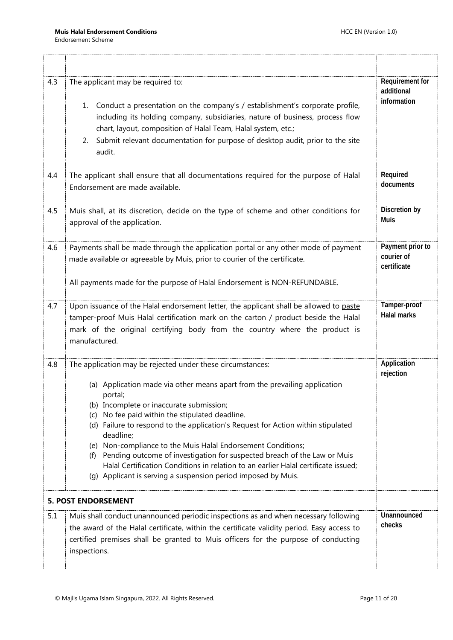<span id="page-10-0"></span>

| 4.3 | The applicant may be required to:<br>Conduct a presentation on the company's / establishment's corporate profile,<br>$1_{\cdot}$<br>including its holding company, subsidiaries, nature of business, process flow<br>chart, layout, composition of Halal Team, Halal system, etc.;<br>Submit relevant documentation for purpose of desktop audit, prior to the site<br>2.<br>audit.                                                                                                                                                                                                                                                                        | Requirement for<br>additional<br>information  |
|-----|------------------------------------------------------------------------------------------------------------------------------------------------------------------------------------------------------------------------------------------------------------------------------------------------------------------------------------------------------------------------------------------------------------------------------------------------------------------------------------------------------------------------------------------------------------------------------------------------------------------------------------------------------------|-----------------------------------------------|
| 4.4 | The applicant shall ensure that all documentations required for the purpose of Halal<br>Endorsement are made available.                                                                                                                                                                                                                                                                                                                                                                                                                                                                                                                                    | Required<br>documents                         |
| 4.5 | Muis shall, at its discretion, decide on the type of scheme and other conditions for<br>approval of the application.                                                                                                                                                                                                                                                                                                                                                                                                                                                                                                                                       | Discretion by<br><b>Muis</b>                  |
| 4.6 | Payments shall be made through the application portal or any other mode of payment<br>made available or agreeable by Muis, prior to courier of the certificate.<br>All payments made for the purpose of Halal Endorsement is NON-REFUNDABLE.                                                                                                                                                                                                                                                                                                                                                                                                               | Payment prior to<br>courier of<br>certificate |
| 4.7 | Upon issuance of the Halal endorsement letter, the applicant shall be allowed to paste<br>tamper-proof Muis Halal certification mark on the carton / product beside the Halal<br>mark of the original certifying body from the country where the product is<br>manufactured.                                                                                                                                                                                                                                                                                                                                                                               | Tamper-proof<br><b>Halal marks</b>            |
| 4.8 | The application may be rejected under these circumstances:<br>(a) Application made via other means apart from the prevailing application<br>portal:<br>(b) Incomplete or inaccurate submission;<br>(c) No fee paid within the stipulated deadline.<br>(d) Failure to respond to the application's Request for Action within stipulated<br>deadline;<br>(e) Non-compliance to the Muis Halal Endorsement Conditions;<br>(f) Pending outcome of investigation for suspected breach of the Law or Muis<br>Halal Certification Conditions in relation to an earlier Halal certificate issued;<br>(g) Applicant is serving a suspension period imposed by Muis. | Application<br>rejection                      |
|     | <b>5. POST ENDORSEMENT</b>                                                                                                                                                                                                                                                                                                                                                                                                                                                                                                                                                                                                                                 |                                               |
| 5.1 | Muis shall conduct unannounced periodic inspections as and when necessary following<br>the award of the Halal certificate, within the certificate validity period. Easy access to<br>certified premises shall be granted to Muis officers for the purpose of conducting<br>inspections.                                                                                                                                                                                                                                                                                                                                                                    | Unannounced<br>checks                         |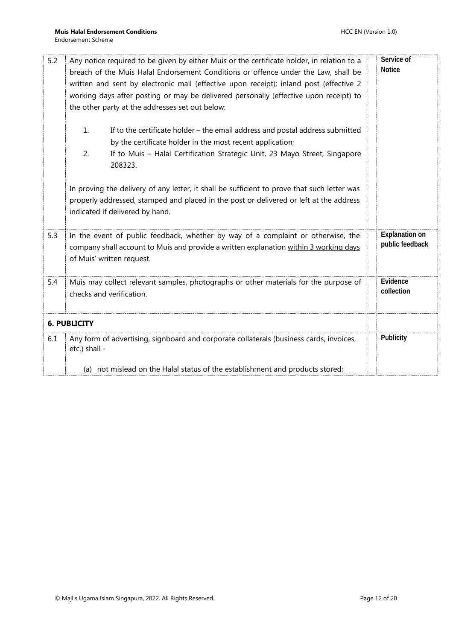<span id="page-11-0"></span>

| 5.2 | Any notice required to be given by either Muis or the certificate holder, in relation to a<br>breach of the Muis Halal Endorsement Conditions or offence under the Law, shall be<br>written and sent by electronic mail (effective upon receipt); inland post (effective 2<br>working days after posting or may be delivered personally (effective upon receipt) to<br>the other party at the addresses set out below: | Service of<br><b>Notice</b>              |
|-----|------------------------------------------------------------------------------------------------------------------------------------------------------------------------------------------------------------------------------------------------------------------------------------------------------------------------------------------------------------------------------------------------------------------------|------------------------------------------|
|     | 1.<br>If to the certificate holder – the email address and postal address submitted<br>by the certificate holder in the most recent application;<br>If to Muis - Halal Certification Strategic Unit, 23 Mayo Street, Singapore<br>2.<br>208323.                                                                                                                                                                        |                                          |
|     | In proving the delivery of any letter, it shall be sufficient to prove that such letter was<br>properly addressed, stamped and placed in the post or delivered or left at the address<br>indicated if delivered by hand.                                                                                                                                                                                               |                                          |
| 5.3 | In the event of public feedback, whether by way of a complaint or otherwise, the<br>company shall account to Muis and provide a written explanation within 3 working days<br>of Muis' written request.                                                                                                                                                                                                                 | <b>Explanation on</b><br>public feedback |
| 5.4 | Muis may collect relevant samples, photographs or other materials for the purpose of<br>checks and verification.                                                                                                                                                                                                                                                                                                       | Evidence<br>collection                   |
|     | <b>6. PUBLICITY</b>                                                                                                                                                                                                                                                                                                                                                                                                    |                                          |
| 6.1 | Any form of advertising, signboard and corporate collaterals (business cards, invoices,<br>etc.) shall -                                                                                                                                                                                                                                                                                                               | Publicity                                |
|     | (a) not mislead on the Halal status of the establishment and products stored;                                                                                                                                                                                                                                                                                                                                          |                                          |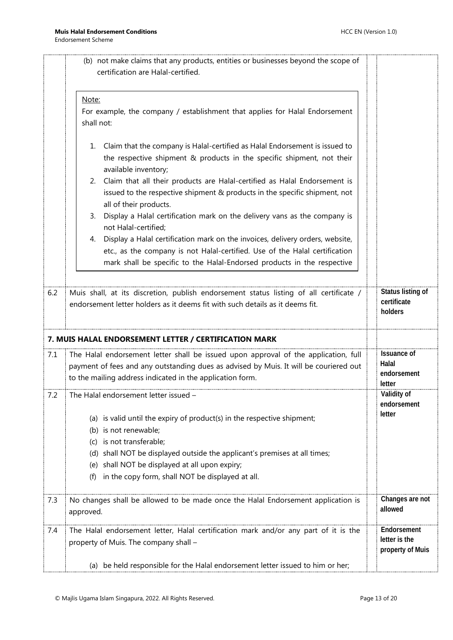| Endorsement Scheme |  |
|--------------------|--|
|                    |  |

<span id="page-12-0"></span>

|     | (b) not make claims that any products, entities or businesses beyond the scope of<br>certification are Halal-certified.                                                                                                                                                                                                                                                                                                                                                                                                                                                       |                                                      |
|-----|-------------------------------------------------------------------------------------------------------------------------------------------------------------------------------------------------------------------------------------------------------------------------------------------------------------------------------------------------------------------------------------------------------------------------------------------------------------------------------------------------------------------------------------------------------------------------------|------------------------------------------------------|
|     | Note:<br>For example, the company / establishment that applies for Halal Endorsement<br>shall not:                                                                                                                                                                                                                                                                                                                                                                                                                                                                            |                                                      |
|     | 1. Claim that the company is Halal-certified as Halal Endorsement is issued to<br>the respective shipment & products in the specific shipment, not their<br>available inventory;<br>Claim that all their products are Halal-certified as Halal Endorsement is<br>2.<br>issued to the respective shipment & products in the specific shipment, not<br>all of their products.<br>Display a Halal certification mark on the delivery vans as the company is<br>3.<br>not Halal-certified;<br>Display a Halal certification mark on the invoices, delivery orders, website,<br>4. |                                                      |
|     | etc., as the company is not Halal-certified. Use of the Halal certification<br>mark shall be specific to the Halal-Endorsed products in the respective                                                                                                                                                                                                                                                                                                                                                                                                                        |                                                      |
| 6.2 | Muis shall, at its discretion, publish endorsement status listing of all certificate /<br>endorsement letter holders as it deems fit with such details as it deems fit.                                                                                                                                                                                                                                                                                                                                                                                                       | Status listing of<br>certificate<br>holders          |
|     | 7. MUIS HALAL ENDORSEMENT LETTER / CERTIFICATION MARK                                                                                                                                                                                                                                                                                                                                                                                                                                                                                                                         |                                                      |
| 7.1 | The Halal endorsement letter shall be issued upon approval of the application, full<br>payment of fees and any outstanding dues as advised by Muis. It will be couriered out<br>to the mailing address indicated in the application form.                                                                                                                                                                                                                                                                                                                                     | <b>Issuance of</b><br>Halal<br>endorsement<br>letter |
| 7.2 | The Halal endorsement letter issued<br>(a) is valid until the expiry of product(s) in the respective shipment;<br>(b) is not renewable;<br>(c) is not transferable;<br>(d) shall NOT be displayed outside the applicant's premises at all times;<br>(e) shall NOT be displayed at all upon expiry;<br>in the copy form, shall NOT be displayed at all.<br>(f)                                                                                                                                                                                                                 | Validity of<br>endorsement<br>letter                 |
| 7.3 | No changes shall be allowed to be made once the Halal Endorsement application is<br>approved.                                                                                                                                                                                                                                                                                                                                                                                                                                                                                 | Changes are not<br>allowed                           |
| 7.4 | The Halal endorsement letter, Halal certification mark and/or any part of it is the<br>property of Muis. The company shall -                                                                                                                                                                                                                                                                                                                                                                                                                                                  | Endorsement<br>letter is the<br>property of Muis     |
|     | (a) be held responsible for the Halal endorsement letter issued to him or her;                                                                                                                                                                                                                                                                                                                                                                                                                                                                                                |                                                      |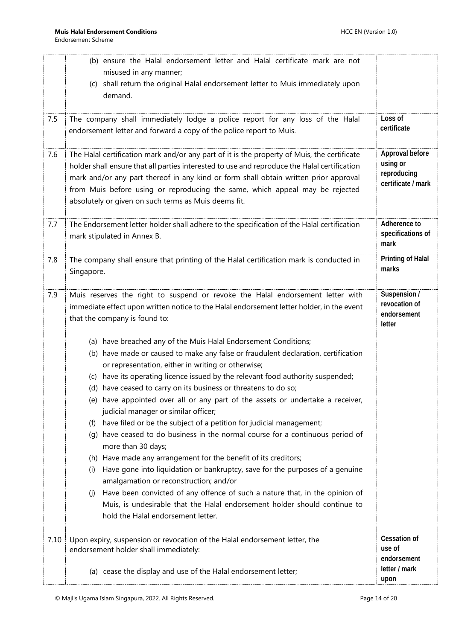|      | (b) ensure the Halal endorsement letter and Halal certificate mark are not<br>misused in any manner;<br>(c) shall return the original Halal endorsement letter to Muis immediately upon<br>demand.                                                                                                                                                                                                                                                                                                                                                                                                                                                                                                                                                                                                                                                                                                                                                                                                                                                                                          |                                                                       |
|------|---------------------------------------------------------------------------------------------------------------------------------------------------------------------------------------------------------------------------------------------------------------------------------------------------------------------------------------------------------------------------------------------------------------------------------------------------------------------------------------------------------------------------------------------------------------------------------------------------------------------------------------------------------------------------------------------------------------------------------------------------------------------------------------------------------------------------------------------------------------------------------------------------------------------------------------------------------------------------------------------------------------------------------------------------------------------------------------------|-----------------------------------------------------------------------|
| 7.5  | The company shall immediately lodge a police report for any loss of the Halal<br>endorsement letter and forward a copy of the police report to Muis.                                                                                                                                                                                                                                                                                                                                                                                                                                                                                                                                                                                                                                                                                                                                                                                                                                                                                                                                        | Loss of<br>certificate                                                |
| 7.6  | The Halal certification mark and/or any part of it is the property of Muis, the certificate<br>holder shall ensure that all parties interested to use and reproduce the Halal certification<br>mark and/or any part thereof in any kind or form shall obtain written prior approval<br>from Muis before using or reproducing the same, which appeal may be rejected<br>absolutely or given on such terms as Muis deems fit.                                                                                                                                                                                                                                                                                                                                                                                                                                                                                                                                                                                                                                                                 | Approval before<br>using or<br>reproducing<br>certificate / mark      |
| 7.7  | The Endorsement letter holder shall adhere to the specification of the Halal certification<br>mark stipulated in Annex B.                                                                                                                                                                                                                                                                                                                                                                                                                                                                                                                                                                                                                                                                                                                                                                                                                                                                                                                                                                   | Adherence to<br>specifications of<br>mark                             |
| 7.8  | The company shall ensure that printing of the Halal certification mark is conducted in<br>Singapore.                                                                                                                                                                                                                                                                                                                                                                                                                                                                                                                                                                                                                                                                                                                                                                                                                                                                                                                                                                                        | Printing of Halal<br>marks                                            |
| 7.9  | Muis reserves the right to suspend or revoke the Halal endorsement letter with<br>immediate effect upon written notice to the Halal endorsement letter holder, in the event<br>that the company is found to:                                                                                                                                                                                                                                                                                                                                                                                                                                                                                                                                                                                                                                                                                                                                                                                                                                                                                | Suspension /<br>revocation of<br>endorsement<br>letter                |
|      | (a) have breached any of the Muis Halal Endorsement Conditions;<br>(b) have made or caused to make any false or fraudulent declaration, certification<br>or representation, either in writing or otherwise;<br>(c) have its operating licence issued by the relevant food authority suspended;<br>(d) have ceased to carry on its business or threatens to do so;<br>(e) have appointed over all or any part of the assets or undertake a receiver,<br>judicial manager or similar officer;<br>(f) have filed or be the subject of a petition for judicial management;<br>(q) have ceased to do business in the normal course for a continuous period of<br>more than 30 days;<br>(h) Have made any arrangement for the benefit of its creditors;<br>Have gone into liquidation or bankruptcy, save for the purposes of a genuine<br>(i)<br>amalgamation or reconstruction; and/or<br>Have been convicted of any offence of such a nature that, in the opinion of<br>(j)<br>Muis, is undesirable that the Halal endorsement holder should continue to<br>hold the Halal endorsement letter. |                                                                       |
| 7.10 | Upon expiry, suspension or revocation of the Halal endorsement letter, the<br>endorsement holder shall immediately:<br>(a) cease the display and use of the Halal endorsement letter;                                                                                                                                                                                                                                                                                                                                                                                                                                                                                                                                                                                                                                                                                                                                                                                                                                                                                                       | <b>Cessation of</b><br>use of<br>endorsement<br>letter / mark<br>upon |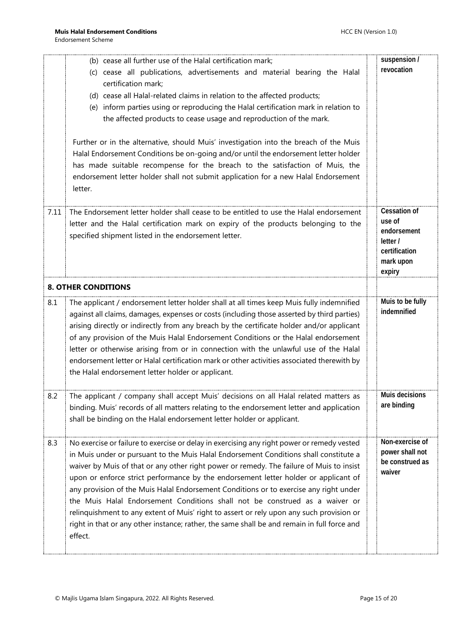<span id="page-14-0"></span>

|      | (b) cease all further use of the Halal certification mark;<br>(c) cease all publications, advertisements and material bearing the Halal<br>certification mark;<br>(d) cease all Halal-related claims in relation to the affected products;<br>(e) inform parties using or reproducing the Halal certification mark in relation to<br>the affected products to cease usage and reproduction of the mark.<br>Further or in the alternative, should Muis' investigation into the breach of the Muis<br>Halal Endorsement Conditions be on-going and/or until the endorsement letter holder<br>has made suitable recompense for the breach to the satisfaction of Muis, the<br>endorsement letter holder shall not submit application for a new Halal Endorsement<br>letter. | suspension /<br>revocation                                                                       |
|------|--------------------------------------------------------------------------------------------------------------------------------------------------------------------------------------------------------------------------------------------------------------------------------------------------------------------------------------------------------------------------------------------------------------------------------------------------------------------------------------------------------------------------------------------------------------------------------------------------------------------------------------------------------------------------------------------------------------------------------------------------------------------------|--------------------------------------------------------------------------------------------------|
| 7.11 | The Endorsement letter holder shall cease to be entitled to use the Halal endorsement<br>letter and the Halal certification mark on expiry of the products belonging to the<br>specified shipment listed in the endorsement letter.                                                                                                                                                                                                                                                                                                                                                                                                                                                                                                                                      | <b>Cessation of</b><br>use of<br>endorsement<br>letter /<br>certification<br>mark upon<br>expiry |
|      | <b>8. OTHER CONDITIONS</b>                                                                                                                                                                                                                                                                                                                                                                                                                                                                                                                                                                                                                                                                                                                                               |                                                                                                  |
| 8.1  | The applicant / endorsement letter holder shall at all times keep Muis fully indemnified<br>against all claims, damages, expenses or costs (including those asserted by third parties)<br>arising directly or indirectly from any breach by the certificate holder and/or applicant<br>of any provision of the Muis Halal Endorsement Conditions or the Halal endorsement<br>letter or otherwise arising from or in connection with the unlawful use of the Halal<br>endorsement letter or Halal certification mark or other activities associated therewith by<br>the Halal endorsement letter holder or applicant.                                                                                                                                                     | Muis to be fully<br>indemnified                                                                  |
| 8.2  | The applicant / company shall accept Muis' decisions on all Halal related matters as<br>binding. Muis' records of all matters relating to the endorsement letter and application<br>shall be binding on the Halal endorsement letter holder or applicant.                                                                                                                                                                                                                                                                                                                                                                                                                                                                                                                | Muis decisions<br>are binding                                                                    |
| 8.3  | No exercise or failure to exercise or delay in exercising any right power or remedy vested<br>in Muis under or pursuant to the Muis Halal Endorsement Conditions shall constitute a<br>waiver by Muis of that or any other right power or remedy. The failure of Muis to insist<br>upon or enforce strict performance by the endorsement letter holder or applicant of<br>any provision of the Muis Halal Endorsement Conditions or to exercise any right under<br>the Muis Halal Endorsement Conditions shall not be construed as a waiver or<br>relinquishment to any extent of Muis' right to assert or rely upon any such provision or<br>right in that or any other instance; rather, the same shall be and remain in full force and<br>effect.                     | Non-exercise of<br>power shall not<br>be construed as<br>waiver                                  |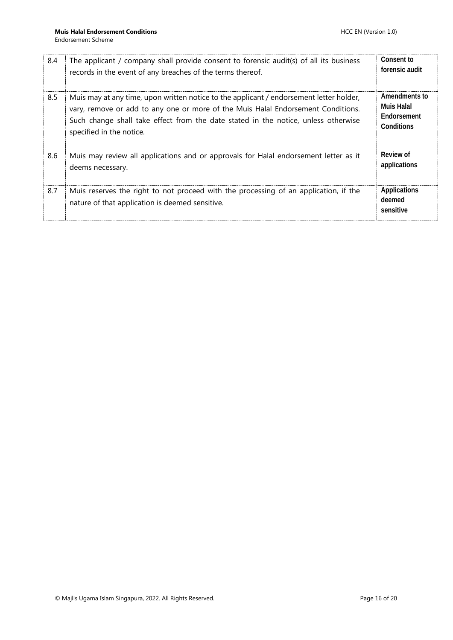<span id="page-15-0"></span>

| 8.4 | The applicant / company shall provide consent to forensic audit(s) of all its business<br>records in the event of any breaches of the terms thereof.                                                                                                                                          | Consent to<br>forensic audit                                    |
|-----|-----------------------------------------------------------------------------------------------------------------------------------------------------------------------------------------------------------------------------------------------------------------------------------------------|-----------------------------------------------------------------|
| 8.5 | Muis may at any time, upon written notice to the applicant / endorsement letter holder,<br>vary, remove or add to any one or more of the Muis Halal Endorsement Conditions.<br>Such change shall take effect from the date stated in the notice, unless otherwise<br>specified in the notice. | Amendments to<br>Muis Halal<br><b>Fndorsement</b><br>Conditions |
| 8.6 | Muis may review all applications and or approvals for Halal endorsement letter as it<br>deems necessary.                                                                                                                                                                                      | Review of<br>applications                                       |
| 8.7 | Muis reserves the right to not proceed with the processing of an application, if the<br>nature of that application is deemed sensitive.                                                                                                                                                       | Applications<br>deemed<br>sensitive                             |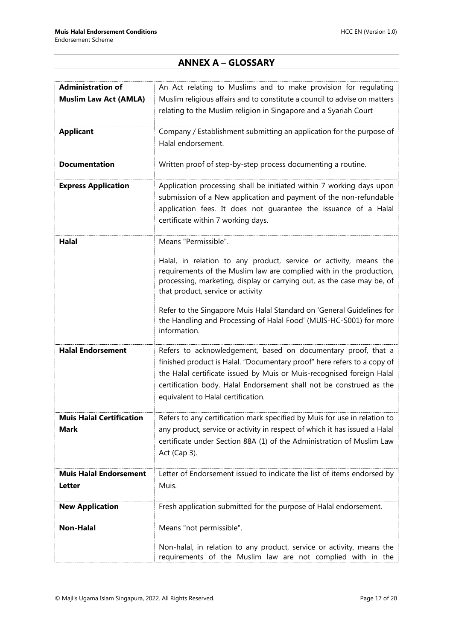## **ANNEX A – GLOSSARY**

| <b>Administration of</b>                       | An Act relating to Muslims and to make provision for regulating                                                                                                                                                                                                                                                                |
|------------------------------------------------|--------------------------------------------------------------------------------------------------------------------------------------------------------------------------------------------------------------------------------------------------------------------------------------------------------------------------------|
| <b>Muslim Law Act (AMLA)</b>                   | Muslim religious affairs and to constitute a council to advise on matters                                                                                                                                                                                                                                                      |
|                                                | relating to the Muslim religion in Singapore and a Syariah Court                                                                                                                                                                                                                                                               |
| <b>Applicant</b>                               | Company / Establishment submitting an application for the purpose of<br>Halal endorsement.                                                                                                                                                                                                                                     |
| <b>Documentation</b>                           | Written proof of step-by-step process documenting a routine.                                                                                                                                                                                                                                                                   |
| <b>Express Application</b>                     | Application processing shall be initiated within 7 working days upon<br>submission of a New application and payment of the non-refundable<br>application fees. It does not guarantee the issuance of a Halal<br>certificate within 7 working days.                                                                             |
| Halal                                          | Means "Permissible".                                                                                                                                                                                                                                                                                                           |
|                                                | Halal, in relation to any product, service or activity, means the<br>requirements of the Muslim law are complied with in the production,<br>processing, marketing, display or carrying out, as the case may be, of<br>that product, service or activity                                                                        |
|                                                | Refer to the Singapore Muis Halal Standard on 'General Guidelines for<br>the Handling and Processing of Halal Food' (MUIS-HC-S001) for more<br>information.                                                                                                                                                                    |
| <b>Halal Endorsement</b>                       | Refers to acknowledgement, based on documentary proof, that a<br>finished product is Halal. "Documentary proof" here refers to a copy of<br>the Halal certificate issued by Muis or Muis-recognised foreign Halal<br>certification body. Halal Endorsement shall not be construed as the<br>equivalent to Halal certification. |
| <b>Muis Halal Certification</b><br><b>Mark</b> | Refers to any certification mark specified by Muis for use in relation to<br>any product, service or activity in respect of which it has issued a Halal<br>certificate under Section 88A (1) of the Administration of Muslim Law<br>Act (Cap 3).                                                                               |
| <b>Muis Halal Endorsement</b><br>Letter        | Letter of Endorsement issued to indicate the list of items endorsed by<br>Muis.                                                                                                                                                                                                                                                |
| <b>New Application</b>                         | Fresh application submitted for the purpose of Halal endorsement.                                                                                                                                                                                                                                                              |
| <b>Non-Halal</b>                               | Means "not permissible".                                                                                                                                                                                                                                                                                                       |
|                                                | Non-halal, in relation to any product, service or activity, means the<br>requirements of the Muslim law are not complied with in the                                                                                                                                                                                           |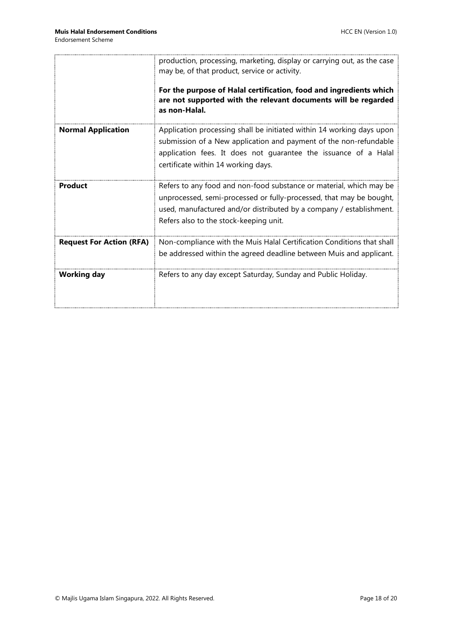| <b>Endorsement Scheme</b> |  |
|---------------------------|--|
|---------------------------|--|

<span id="page-17-0"></span>

|                                 | production, processing, marketing, display or carrying out, as the case<br>may be, of that product, service or activity.<br>For the purpose of Halal certification, food and ingredients which<br>are not supported with the relevant documents will be regarded<br>as non-Halal. |
|---------------------------------|-----------------------------------------------------------------------------------------------------------------------------------------------------------------------------------------------------------------------------------------------------------------------------------|
| <b>Normal Application</b>       | Application processing shall be initiated within 14 working days upon<br>submission of a New application and payment of the non-refundable<br>application fees. It does not guarantee the issuance of a Halal<br>certificate within 14 working days.                              |
| Product                         | Refers to any food and non-food substance or material, which may be<br>unprocessed, semi-processed or fully-processed, that may be bought,<br>used, manufactured and/or distributed by a company / establishment.<br>Refers also to the stock-keeping unit.                       |
| <b>Request For Action (RFA)</b> | Non-compliance with the Muis Halal Certification Conditions that shall<br>be addressed within the agreed deadline between Muis and applicant.                                                                                                                                     |
| <b>Working day</b>              | Refers to any day except Saturday, Sunday and Public Holiday.                                                                                                                                                                                                                     |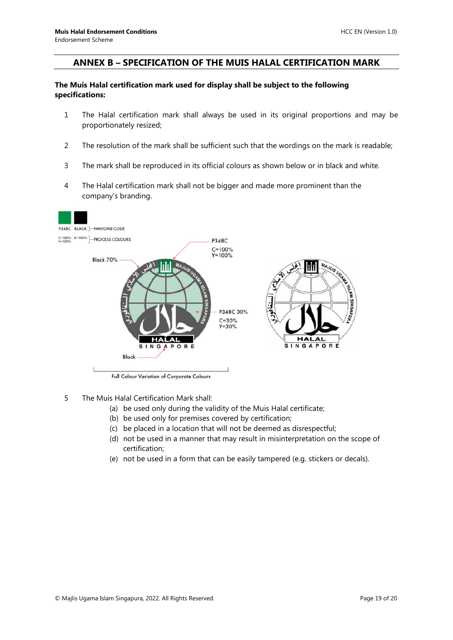#### **ANNEX B – SPECIFICATION OF THE MUIS HALAL CERTIFICATION MARK**

#### **The Muis Halal certification mark used for display shall be subject to the following specifications:**

- 1 The Halal certification mark shall always be used in its original proportions and may be proportionately resized;
- 2 The resolution of the mark shall be sufficient such that the wordings on the mark is readable;
- 3 The mark shall be reproduced in its official colours as shown below or in black and white.
- 4 The Halal certification mark shall not be bigger and made more prominent than the company's branding.



#### 5 The Muis Halal Certification Mark shall:

- (a) be used only during the validity of the Muis Halal certificate;
- (b) be used only for premises covered by certification;
- (c) be placed in a location that will not be deemed as disrespectful;
- (d) not be used in a manner that may result in misinterpretation on the scope of certification;
- (e) not be used in a form that can be easily tampered (e.g. stickers or decals).